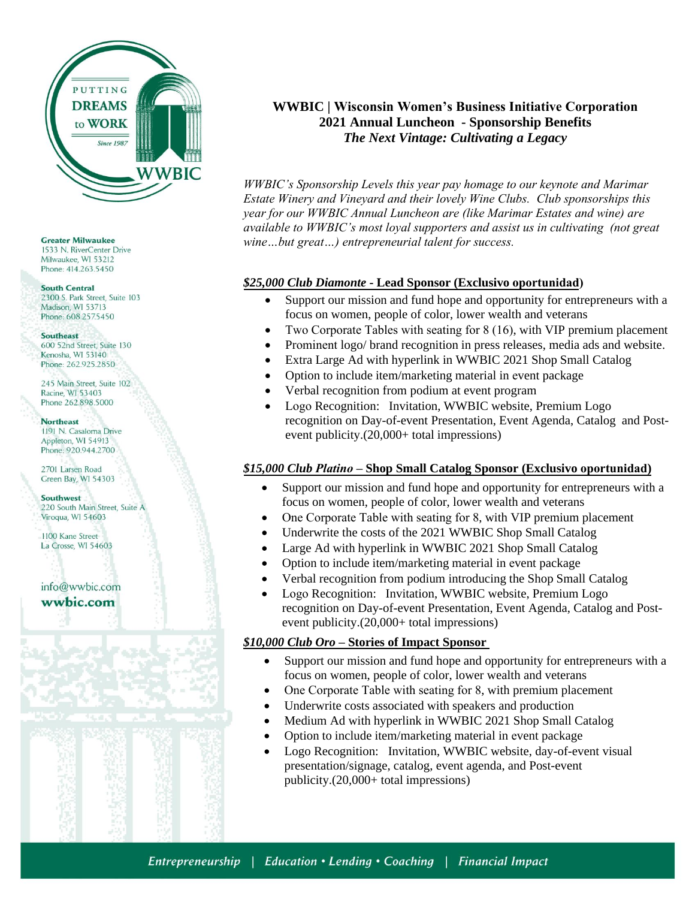

**Greater Milwaukee** 1533 N. RiverCenter Drive Milwaukee, WI 53212 Phone: 414.263.5450

#### **South Central**

2300 S. Park Street, Suite 103 Madison WI 53713 Phone: 608.257.5450

#### **Southeast**

600 52nd Street, Suite 130 Kenosha, WI 53140 Phone: 262,925,2850

245 Main Street, Suite 102 Racine, WI 53403 Phone 262.898.5000

#### **Northeast**

1191 N. Casaloma Drive Appleton, WI 54913 Phone: 920.944.2700

2701 Larsen Road Green Bay, WI 54303

Southwest 220 South Main Street, Suite A Viroqua, WI 54603

1100 Kane Street La Crosse, WI 54603

info@wwbic.com wwbic.com

# **WWBIC | Wisconsin Women's Business Initiative Corporation 2021 Annual Luncheon - Sponsorship Benefits**  *The Next Vintage: Cultivating a Legacy*

*WWBIC's Sponsorship Levels this year pay homage to our keynote and Marimar Estate Winery and Vineyard and their lovely Wine Clubs. Club sponsorships this year for our WWBIC Annual Luncheon are (like Marimar Estates and wine) are available to WWBIC's most loyal supporters and assist us in cultivating (not great wine…but great…) entrepreneurial talent for success.* 

## *\$25,000 Club Diamonte* **- Lead Sponsor (Exclusivo oportunidad)**

- Support our mission and fund hope and opportunity for entrepreneurs with a focus on women, people of color, lower wealth and veterans
- Two Corporate Tables with seating for 8 (16), with VIP premium placement
- Prominent logo/ brand recognition in press releases, media ads and website.
- Extra Large Ad with hyperlink in WWBIC 2021 Shop Small Catalog
- Option to include item/marketing material in event package
- Verbal recognition from podium at event program
- Logo Recognition: Invitation, WWBIC website, Premium Logo recognition on Day-of-event Presentation, Event Agenda, Catalog and Postevent publicity.(20,000+ total impressions)

## *\$15,000 Club Platino* **– Shop Small Catalog Sponsor (Exclusivo oportunidad)**

- Support our mission and fund hope and opportunity for entrepreneurs with a focus on women, people of color, lower wealth and veterans
- One Corporate Table with seating for 8, with VIP premium placement
- Underwrite the costs of the 2021 WWBIC Shop Small Catalog
- Large Ad with hyperlink in WWBIC 2021 Shop Small Catalog
- Option to include item/marketing material in event package
- Verbal recognition from podium introducing the Shop Small Catalog
- Logo Recognition: Invitation, WWBIC website, Premium Logo recognition on Day-of-event Presentation, Event Agenda, Catalog and Postevent publicity.(20,000+ total impressions)

## *\$10,000 Club Oro* **– Stories of Impact Sponsor**

- Support our mission and fund hope and opportunity for entrepreneurs with a focus on women, people of color, lower wealth and veterans
- One Corporate Table with seating for 8, with premium placement
- Underwrite costs associated with speakers and production
- Medium Ad with hyperlink in WWBIC 2021 Shop Small Catalog
- Option to include item/marketing material in event package
- Logo Recognition: Invitation, WWBIC website, day-of-event visual presentation/signage, catalog, event agenda, and Post-event publicity.(20,000+ total impressions)